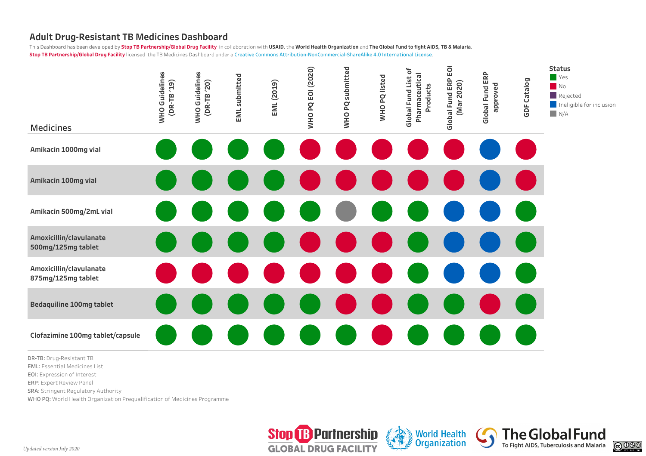This Dashboard has been developed by Stop TB Partnership/Global Drug Facility in collaboration with USAID, the World Health Organization and The Global Fund to fight AIDS, TB & Malaria. **Stop TB Partnership/Global Drug Facility** licensed the TB Medicines Dashboard under a Creative Commons Attribution-NonCommercial-ShareAlike 4.0 International License.



**DR-TB:** Drug-Resistant TB

**EML:** Essential Medicines List

**EOI:** Expression of Interest

**ERP**: Expert Review Panel

**SRA:** Stringent Regulatory Authority

WHO PQ: World Health Organization Prequalification of Medicines Programme



**World Health** 

**Organization** 

**The Global Fund** 

To Fight AIDS, Tuberculosis and Malaria

 $@0@0$ 

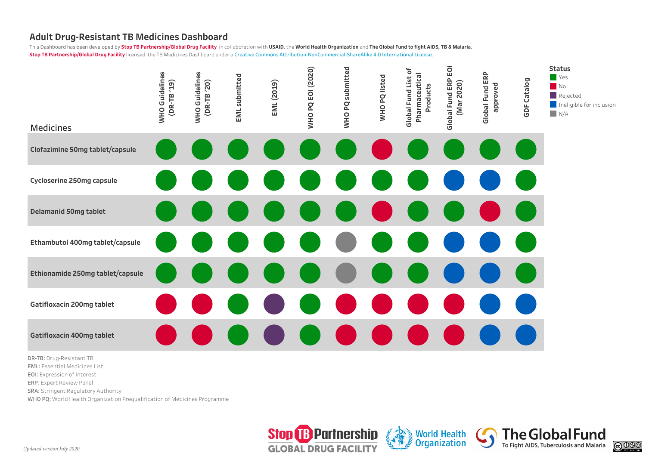This Dashboard has been developed by Stop TB Partnership/Global Drug Facility in collaboration with USAID, the World Health Organization and The Global Fund to fight AIDS, TB & Malaria. **Stop TB Partnership/Global Drug Facility** licensed the TB Medicines Dashboard under a Creative Commons Attribution-NonCommercial-ShareAlike 4.0 International License.



- **ERP**: Expert Review Panel
- 
- **SRA:** Stringent Regulatory Authority
- WHO PQ: World Health Organization Prequalification of Medicines Programme



**World Health** 

**Organization** 

**The Global Fund** 

To Fight AIDS, Tuberculosis and Malaria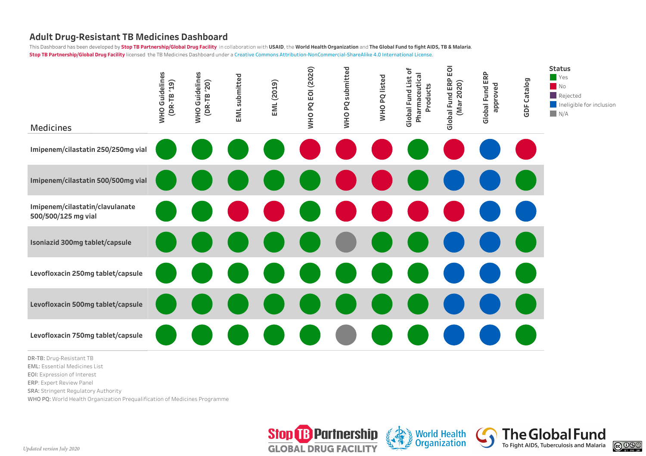This Dashboard has been developed by Stop TB Partnership/Global Drug Facility in collaboration with USAID, the World Health Organization and The Global Fund to fight AIDS, TB & Malaria. **Stop TB Partnership/Global Drug Facility** licensed the TB Medicines Dashboard under a Creative Commons Attribution-NonCommercial-ShareAlike 4.0 International License.



**DR-TB:** Drug-Resistant TB

**EML:** Essential Medicines List

**EOI:** Expression of Interest

**ERP**: Expert Review Panel

**SRA:** Stringent Regulatory Authority

WHO PQ: World Health Organization Prequalification of Medicines Programme



**World Health** 

**Organization** 

**The Global Fund** 

To Fight AIDS, Tuberculosis and Malaria

 $@0@0$ 

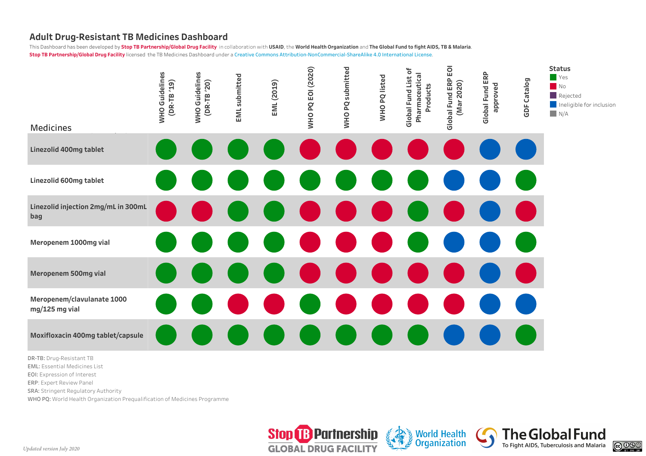This Dashboard has been developed by Stop TB Partnership/Global Drug Facility in collaboration with USAID, the World Health Organization and The Global Fund to fight AIDS, TB & Malaria. **Stop TB Partnership/Global Drug Facility** licensed the TB Medicines Dashboard under a Creative Commons Attribution-NonCommercial-ShareAlike 4.0 International License.



**DR-TB:** Drug-Resistant TB **EML:** Essential Medicines List

**EOI:** Expression of Interest

**ERP**: Expert Review Panel

**SRA:** Stringent Regulatory Authority

WHO PQ: World Health Organization Prequalification of Medicines Programme



**World Health** 

**Organization** 

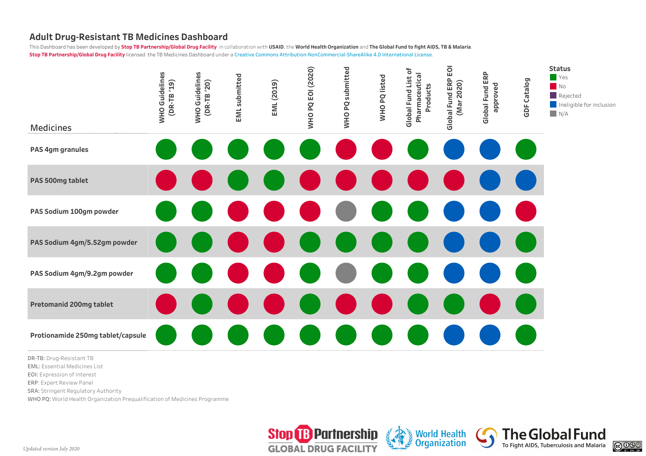This Dashboard has been developed by Stop TB Partnership/Global Drug Facility in collaboration with USAID, the World Health Organization and The Global Fund to fight AIDS, TB & Malaria. **Stop TB Partnership/Global Drug Facility** licensed the TB Medicines Dashboard under a Creative Commons Attribution-NonCommercial-ShareAlike 4.0 International License.



**DR-TB:** Drug-Resistant TB

**EML:** Essential Medicines List

**EOI:** Expression of Interest

**ERP**: Expert Review Panel

**SRA:** Stringent Regulatory Authority

WHO PQ: World Health Organization Prequalification of Medicines Programme



**World Health** 

**Organization**